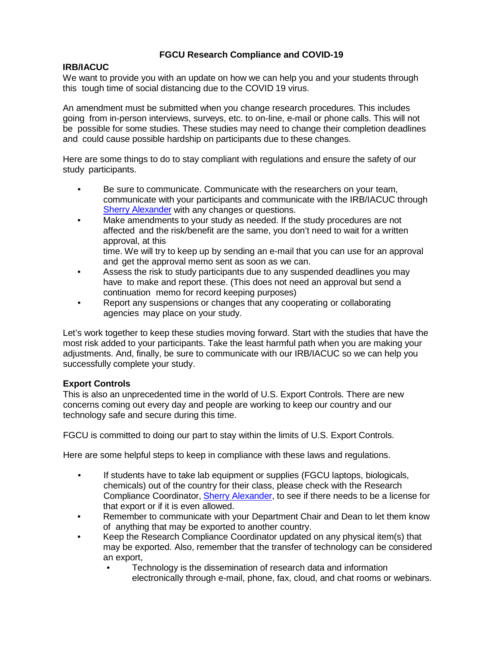## **FGCU Research Compliance and COVID-19**

## **IRB/IACUC**

We want to provide you with an update on how we can help you and your students through this tough time of social distancing due to the COVID 19 virus.

An amendment must be submitted when you change research procedures. This includes going from in-person interviews, surveys, etc. to on-line, e-mail or phone calls. This will not be possible for some studies. These studies may need to change their completion deadlines and could cause possible hardship on participants due to these changes.

Here are some things to do to stay compliant with regulations and ensure the safety of our study participants.

- Be sure to communicate. Communicate with the researchers on your team, communicate with your participants and communicate with the IRB/IACUC through Sherry [Alexander](mailto:sralexander@fgcu.edu) with any changes or questions.
- Make amendments to your study as needed. If the study procedures are not affected and the risk/benefit are the same, you don't need to wait for a written approval, at this

time. We will try to keep up by sending an e-mail that you can use for an approval and get the approval memo sent as soon as we can.

- Assess the risk to study participants due to any suspended deadlines you may have to make and report these. (This does not need an approval but send a continuation memo for record keeping purposes)
- Report any suspensions or changes that any cooperating or collaborating agencies may place on your study.

Let's work together to keep these studies moving forward. Start with the studies that have the most risk added to your participants. Take the least harmful path when you are making your adjustments. And, finally, be sure to communicate with our IRB/IACUC so we can help you successfully complete your study.

## **Export Controls**

This is also an unprecedented time in the world of U.S. Export Controls. There are new concerns coming out every day and people are working to keep our country and our technology safe and secure during this time.

FGCU is committed to doing our part to stay within the limits of U.S. Export Controls.

Here are some helpful steps to keep in compliance with these laws and regulations.

- If students have to take lab equipment or supplies (FGCU laptops, biologicals, chemicals) out of the country for their class, please check with the Research Compliance Coordinator[, Sherry Alexander,](mailto:sralexander@fgcu.edu) to see if there needs to be a license for that export or if it is even allowed.
- Remember to communicate with your Department Chair and Dean to let them know of anything that may be exported to another country.
- Keep the Research Compliance Coordinator updated on any physical item(s) that may be exported. Also, remember that the transfer of technology can be considered an export,
	- Technology is the dissemination of research data and information electronically through e-mail, phone, fax, cloud, and chat rooms or webinars.